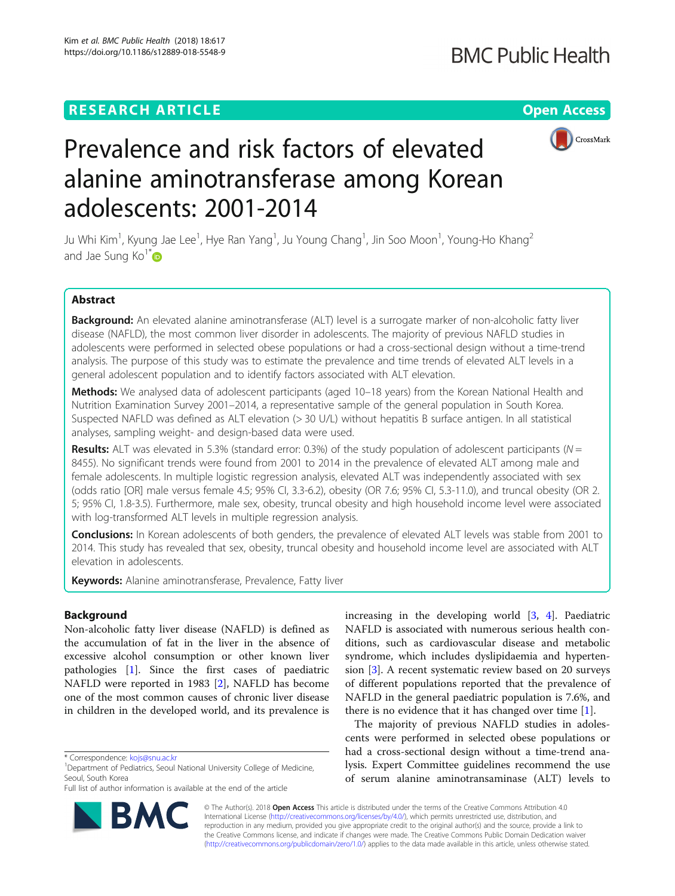# **RESEARCH ARTICLE Example 2014 12:30 The Contract of Contract ACCESS**



# Prevalence and risk factors of elevated alanine aminotransferase among Korean adolescents: 2001-2014

Ju Whi Kim<sup>1</sup>, Kyung Jae Lee<sup>1</sup>, Hye Ran Yang<sup>1</sup>, Ju Young Chang<sup>1</sup>, Jin Soo Moon<sup>1</sup>, Young-Ho Khang<sup>2</sup> and Jae Sung Ko $^{\dagger}$  D

# Abstract

Background: An elevated alanine aminotransferase (ALT) level is a surrogate marker of non-alcoholic fatty liver disease (NAFLD), the most common liver disorder in adolescents. The majority of previous NAFLD studies in adolescents were performed in selected obese populations or had a cross-sectional design without a time-trend analysis. The purpose of this study was to estimate the prevalence and time trends of elevated ALT levels in a general adolescent population and to identify factors associated with ALT elevation.

Methods: We analysed data of adolescent participants (aged 10-18 years) from the Korean National Health and Nutrition Examination Survey 2001–2014, a representative sample of the general population in South Korea. Suspected NAFLD was defined as ALT elevation (> 30 U/L) without hepatitis B surface antigen. In all statistical analyses, sampling weight- and design-based data were used.

Results: ALT was elevated in 5.3% (standard error: 0.3%) of the study population of adolescent participants ( $N =$ 8455). No significant trends were found from 2001 to 2014 in the prevalence of elevated ALT among male and female adolescents. In multiple logistic regression analysis, elevated ALT was independently associated with sex (odds ratio [OR] male versus female 4.5; 95% CI, 3.3-6.2), obesity (OR 7.6; 95% CI, 5.3-11.0), and truncal obesity (OR 2. 5; 95% CI, 1.8-3.5). Furthermore, male sex, obesity, truncal obesity and high household income level were associated with log-transformed ALT levels in multiple regression analysis.

Conclusions: In Korean adolescents of both genders, the prevalence of elevated ALT levels was stable from 2001 to 2014. This study has revealed that sex, obesity, truncal obesity and household income level are associated with ALT elevation in adolescents.

Keywords: Alanine aminotransferase, Prevalence, Fatty liver

# Background

Non-alcoholic fatty liver disease (NAFLD) is defined as the accumulation of fat in the liver in the absence of excessive alcohol consumption or other known liver pathologies [[1\]](#page-6-0). Since the first cases of paediatric NAFLD were reported in 1983 [[2\]](#page-6-0), NAFLD has become one of the most common causes of chronic liver disease in children in the developed world, and its prevalence is

RA



The majority of previous NAFLD studies in adolescents were performed in selected obese populations or had a cross-sectional design without a time-trend analysis. Expert Committee guidelines recommend the use of serum alanine aminotransaminase (ALT) levels to

© The Author(s). 2018 Open Access This article is distributed under the terms of the Creative Commons Attribution 4.0 International License [\(http://creativecommons.org/licenses/by/4.0/](http://creativecommons.org/licenses/by/4.0/)), which permits unrestricted use, distribution, and reproduction in any medium, provided you give appropriate credit to the original author(s) and the source, provide a link to the Creative Commons license, and indicate if changes were made. The Creative Commons Public Domain Dedication waiver [\(http://creativecommons.org/publicdomain/zero/1.0/](http://creativecommons.org/publicdomain/zero/1.0/)) applies to the data made available in this article, unless otherwise stated.

<sup>\*</sup> Correspondence: [kojs@snu.ac.kr](mailto:kojs@snu.ac.kr) <sup>1</sup>

<sup>&</sup>lt;sup>1</sup>Department of Pediatrics, Seoul National University College of Medicine, Seoul, South Korea

Full list of author information is available at the end of the article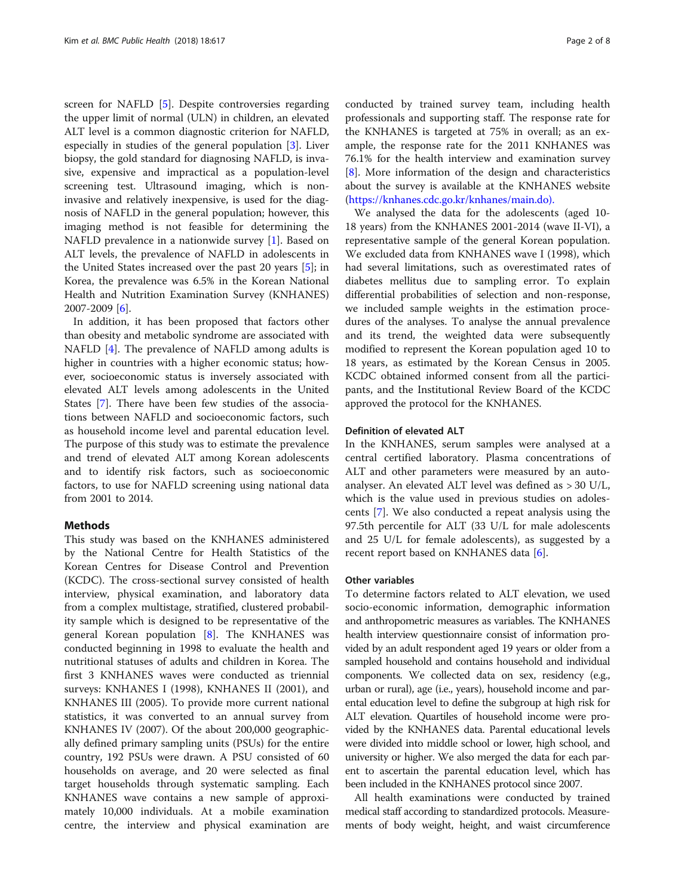screen for NAFLD [\[5](#page-6-0)]. Despite controversies regarding the upper limit of normal (ULN) in children, an elevated ALT level is a common diagnostic criterion for NAFLD, especially in studies of the general population [[3\]](#page-6-0). Liver biopsy, the gold standard for diagnosing NAFLD, is invasive, expensive and impractical as a population-level screening test. Ultrasound imaging, which is noninvasive and relatively inexpensive, is used for the diagnosis of NAFLD in the general population; however, this imaging method is not feasible for determining the NAFLD prevalence in a nationwide survey [\[1](#page-6-0)]. Based on ALT levels, the prevalence of NAFLD in adolescents in the United States increased over the past 20 years [\[5](#page-6-0)]; in Korea, the prevalence was 6.5% in the Korean National Health and Nutrition Examination Survey (KNHANES) 2007-2009 [[6\]](#page-6-0).

In addition, it has been proposed that factors other than obesity and metabolic syndrome are associated with NAFLD [[4\]](#page-6-0). The prevalence of NAFLD among adults is higher in countries with a higher economic status; however, socioeconomic status is inversely associated with elevated ALT levels among adolescents in the United States [\[7](#page-6-0)]. There have been few studies of the associations between NAFLD and socioeconomic factors, such as household income level and parental education level. The purpose of this study was to estimate the prevalence and trend of elevated ALT among Korean adolescents and to identify risk factors, such as socioeconomic factors, to use for NAFLD screening using national data from 2001 to 2014.

# Methods

This study was based on the KNHANES administered by the National Centre for Health Statistics of the Korean Centres for Disease Control and Prevention (KCDC). The cross-sectional survey consisted of health interview, physical examination, and laboratory data from a complex multistage, stratified, clustered probability sample which is designed to be representative of the general Korean population [[8\]](#page-6-0). The KNHANES was conducted beginning in 1998 to evaluate the health and nutritional statuses of adults and children in Korea. The first 3 KNHANES waves were conducted as triennial surveys: KNHANES I (1998), KNHANES II (2001), and KNHANES III (2005). To provide more current national statistics, it was converted to an annual survey from KNHANES IV (2007). Of the about 200,000 geographically defined primary sampling units (PSUs) for the entire country, 192 PSUs were drawn. A PSU consisted of 60 households on average, and 20 were selected as final target households through systematic sampling. Each KNHANES wave contains a new sample of approximately 10,000 individuals. At a mobile examination centre, the interview and physical examination are conducted by trained survey team, including health professionals and supporting staff. The response rate for the KNHANES is targeted at 75% in overall; as an example, the response rate for the 2011 KNHANES was 76.1% for the health interview and examination survey [[8\]](#page-6-0). More information of the design and characteristics about the survey is available at the KNHANES website ([https://knhanes.cdc.go.kr/knhanes/main.do\).](https://knhanes.cdc.go.kr/knhanes/)

We analysed the data for the adolescents (aged 10- 18 years) from the KNHANES 2001-2014 (wave II-VI), a representative sample of the general Korean population. We excluded data from KNHANES wave I (1998), which had several limitations, such as overestimated rates of diabetes mellitus due to sampling error. To explain differential probabilities of selection and non-response, we included sample weights in the estimation procedures of the analyses. To analyse the annual prevalence and its trend, the weighted data were subsequently modified to represent the Korean population aged 10 to 18 years, as estimated by the Korean Census in 2005. KCDC obtained informed consent from all the participants, and the Institutional Review Board of the KCDC approved the protocol for the KNHANES.

# Definition of elevated ALT

In the KNHANES, serum samples were analysed at a central certified laboratory. Plasma concentrations of ALT and other parameters were measured by an autoanalyser. An elevated ALT level was defined as > 30 U/L, which is the value used in previous studies on adolescents [[7](#page-6-0)]. We also conducted a repeat analysis using the 97.5th percentile for ALT (33 U/L for male adolescents and 25 U/L for female adolescents), as suggested by a recent report based on KNHANES data [[6\]](#page-6-0).

# Other variables

To determine factors related to ALT elevation, we used socio-economic information, demographic information and anthropometric measures as variables. The KNHANES health interview questionnaire consist of information provided by an adult respondent aged 19 years or older from a sampled household and contains household and individual components. We collected data on sex, residency (e.g., urban or rural), age (i.e., years), household income and parental education level to define the subgroup at high risk for ALT elevation. Quartiles of household income were provided by the KNHANES data. Parental educational levels were divided into middle school or lower, high school, and university or higher. We also merged the data for each parent to ascertain the parental education level, which has been included in the KNHANES protocol since 2007.

All health examinations were conducted by trained medical staff according to standardized protocols. Measurements of body weight, height, and waist circumference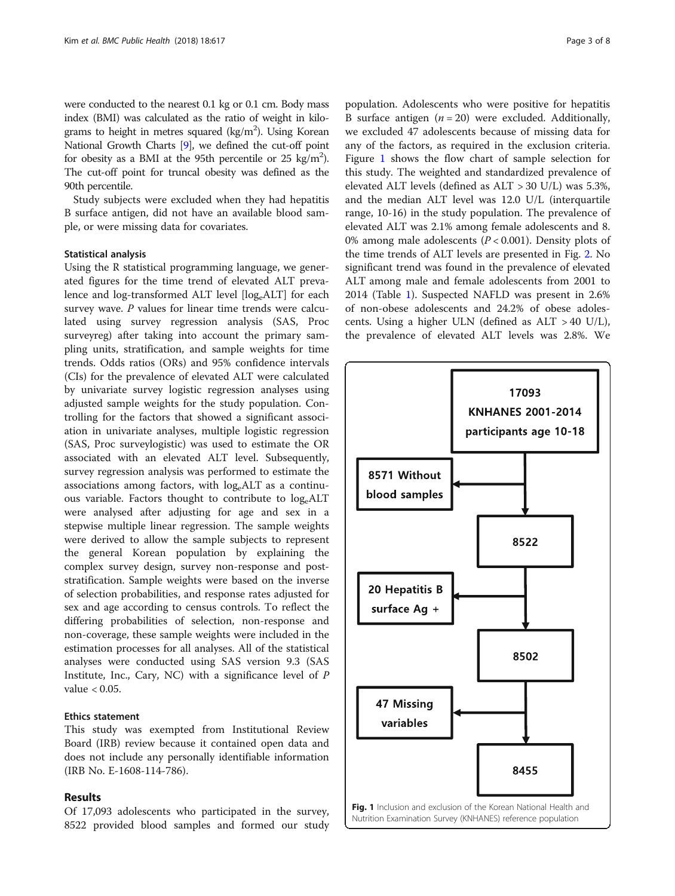were conducted to the nearest 0.1 kg or 0.1 cm. Body mass index (BMI) was calculated as the ratio of weight in kilograms to height in metres squared (kg/m<sup>2</sup>). Using Korean National Growth Charts [[9\]](#page-6-0), we defined the cut-off point for obesity as a BMI at the 95th percentile or 25 kg/m<sup>2</sup>). The cut-off point for truncal obesity was defined as the 90th percentile.

Study subjects were excluded when they had hepatitis B surface antigen, did not have an available blood sample, or were missing data for covariates.

# Statistical analysis

Using the R statistical programming language, we generated figures for the time trend of elevated ALT prevalence and log-transformed ALT level  $[log_e ALT]$  for each survey wave.  $P$  values for linear time trends were calculated using survey regression analysis (SAS, Proc surveyreg) after taking into account the primary sampling units, stratification, and sample weights for time trends. Odds ratios (ORs) and 95% confidence intervals (CIs) for the prevalence of elevated ALT were calculated by univariate survey logistic regression analyses using adjusted sample weights for the study population. Controlling for the factors that showed a significant association in univariate analyses, multiple logistic regression (SAS, Proc surveylogistic) was used to estimate the OR associated with an elevated ALT level. Subsequently, survey regression analysis was performed to estimate the associations among factors, with  $log_e ALT$  as a continuous variable. Factors thought to contribute to  $log_e ALT$ were analysed after adjusting for age and sex in a stepwise multiple linear regression. The sample weights were derived to allow the sample subjects to represent the general Korean population by explaining the complex survey design, survey non-response and poststratification. Sample weights were based on the inverse of selection probabilities, and response rates adjusted for sex and age according to census controls. To reflect the differing probabilities of selection, non-response and non-coverage, these sample weights were included in the estimation processes for all analyses. All of the statistical analyses were conducted using SAS version 9.3 (SAS Institute, Inc., Cary, NC) with a significance level of  $P$ value  $< 0.05$ .

# Ethics statement

This study was exempted from Institutional Review Board (IRB) review because it contained open data and does not include any personally identifiable information (IRB No. E-1608-114-786).

### Results

Of 17,093 adolescents who participated in the survey, 8522 provided blood samples and formed our study

population. Adolescents who were positive for hepatitis B surface antigen  $(n = 20)$  were excluded. Additionally, we excluded 47 adolescents because of missing data for any of the factors, as required in the exclusion criteria. Figure 1 shows the flow chart of sample selection for this study. The weighted and standardized prevalence of elevated ALT levels (defined as ALT > 30 U/L) was 5.3%, and the median ALT level was 12.0 U/L (interquartile range, 10-16) in the study population. The prevalence of elevated ALT was 2.1% among female adolescents and 8. 0% among male adolescents ( $P < 0.001$ ). Density plots of the time trends of ALT levels are presented in Fig. [2.](#page-3-0) No significant trend was found in the prevalence of elevated ALT among male and female adolescents from 2001 to 2014 (Table [1](#page-3-0)). Suspected NAFLD was present in 2.6% of non-obese adolescents and 24.2% of obese adolescents. Using a higher ULN (defined as ALT > 40 U/L), the prevalence of elevated ALT levels was 2.8%. We

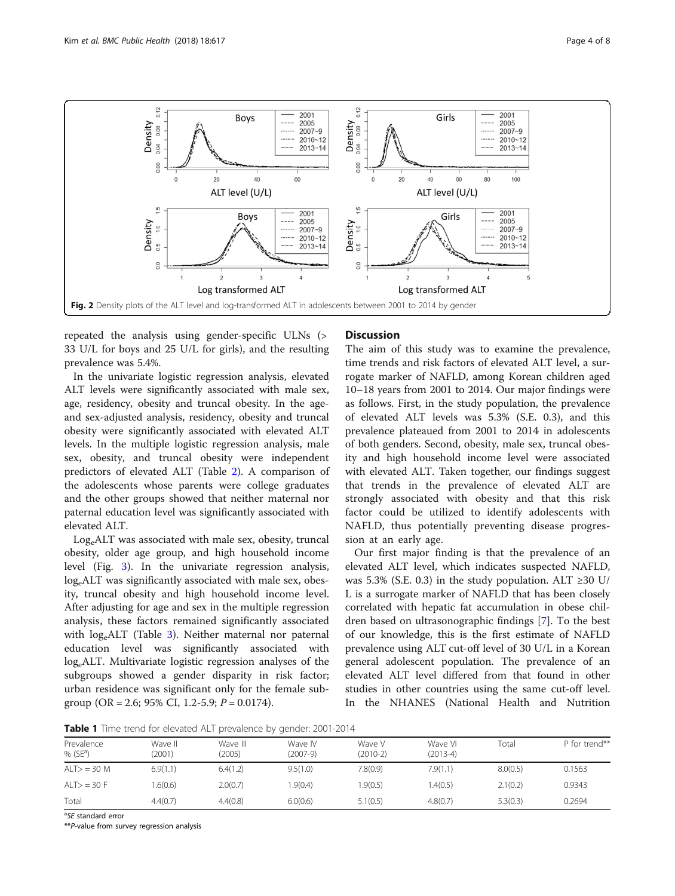

<span id="page-3-0"></span>

repeated the analysis using gender-specific ULNs (> 33 U/L for boys and 25 U/L for girls), and the resulting prevalence was 5.4%.

In the univariate logistic regression analysis, elevated ALT levels were significantly associated with male sex, age, residency, obesity and truncal obesity. In the ageand sex-adjusted analysis, residency, obesity and truncal obesity were significantly associated with elevated ALT levels. In the multiple logistic regression analysis, male sex, obesity, and truncal obesity were independent predictors of elevated ALT (Table [2](#page-4-0)). A comparison of the adolescents whose parents were college graduates and the other groups showed that neither maternal nor paternal education level was significantly associated with elevated ALT.

LogeALT was associated with male sex, obesity, truncal obesity, older age group, and high household income level (Fig. [3](#page-4-0)). In the univariate regression analysis, log<sub>e</sub>ALT was significantly associated with male sex, obesity, truncal obesity and high household income level. After adjusting for age and sex in the multiple regression analysis, these factors remained significantly associated with  $log_e ALT$  (Table [3](#page-5-0)). Neither maternal nor paternal education level was significantly associated with log<sub>e</sub>ALT. Multivariate logistic regression analyses of the subgroups showed a gender disparity in risk factor; urban residence was significant only for the female subgroup (OR = 2.6; 95% CI, 1.2-5.9;  $P = 0.0174$ ).

# **Discussion**

The aim of this study was to examine the prevalence, time trends and risk factors of elevated ALT level, a surrogate marker of NAFLD, among Korean children aged 10–18 years from 2001 to 2014. Our major findings were as follows. First, in the study population, the prevalence of elevated ALT levels was 5.3% (S.E. 0.3), and this prevalence plateaued from 2001 to 2014 in adolescents of both genders. Second, obesity, male sex, truncal obesity and high household income level were associated with elevated ALT. Taken together, our findings suggest that trends in the prevalence of elevated ALT are strongly associated with obesity and that this risk factor could be utilized to identify adolescents with NAFLD, thus potentially preventing disease progression at an early age.

Our first major finding is that the prevalence of an elevated ALT level, which indicates suspected NAFLD, was 5.3% (S.E. 0.3) in the study population. ALT  $\geq$ 30 U/ L is a surrogate marker of NAFLD that has been closely correlated with hepatic fat accumulation in obese children based on ultrasonographic findings [[7\]](#page-6-0). To the best of our knowledge, this is the first estimate of NAFLD prevalence using ALT cut-off level of 30 U/L in a Korean general adolescent population. The prevalence of an elevated ALT level differed from that found in other studies in other countries using the same cut-off level. In the NHANES (National Health and Nutrition

Table 1 Time trend for elevated ALT prevalence by gender: 2001-2014

| <b>Table 1</b> Time tiend for elevated ALT prevalence by genuer. 2001-2014 |                   |                    |                       |                    |                       |          |               |  |  |
|----------------------------------------------------------------------------|-------------------|--------------------|-----------------------|--------------------|-----------------------|----------|---------------|--|--|
| Prevalence<br>% ( $SE^a$ )                                                 | Wave II<br>(2001) | Wave III<br>(2005) | Wave IV<br>$(2007-9)$ | Wave V<br>(2010-2) | Wave VI<br>$(2013-4)$ | Total    | P for trend** |  |  |
| $ALT>$ = 30 M                                                              | 6.9(1.1)          | 6.4(1.2)           | 9.5(1.0)              | 7.8(0.9)           | 7.9(1.1)              | 8.0(0.5) | 0.1563        |  |  |
| AI T $>$ = 30 F                                                            | .6(0.6)           | 2.0(0.7)           | 1.9(0.4)              | .9(0.5)            | .4(0.5)               | 2.1(0.2) | 0.9343        |  |  |
| Total                                                                      | 4.4(0.7)          | 4.4(0.8)           | 6.0(0.6)              | 5.1(0.5)           | 4.8(0.7)              | 5.3(0.3) | 0.2694        |  |  |

<sup>a</sup>SE standard error

\*\*P-value from survey regression analysis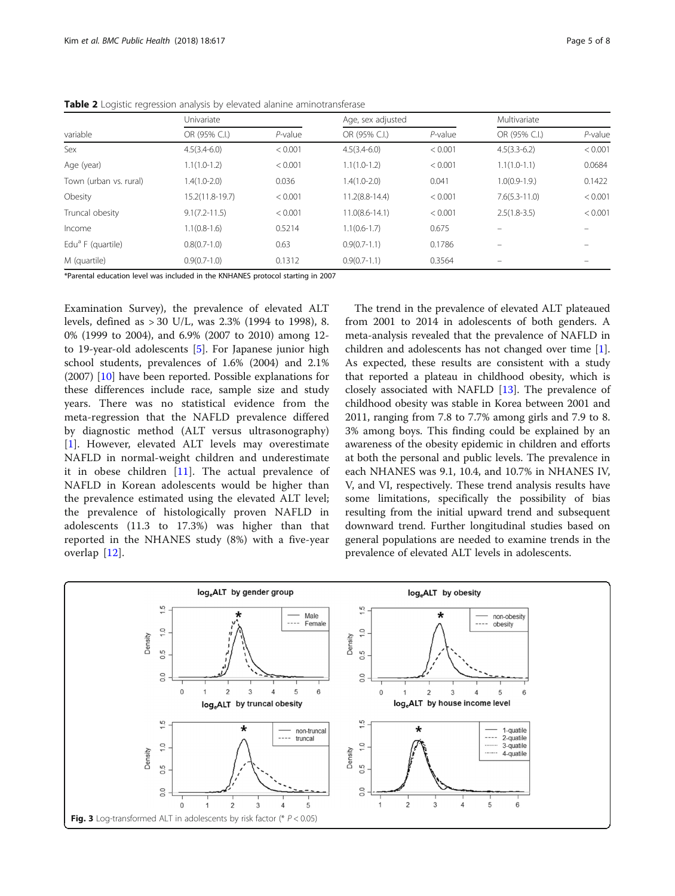|                               | Univariate        |            | Age, sex adjusted  |            | Multivariate      |                          |
|-------------------------------|-------------------|------------|--------------------|------------|-------------------|--------------------------|
| variable                      | OR (95% C.I.)     | $P$ -value | OR (95% C.I.)      | $P$ -value | OR (95% C.I.)     | $P$ -value               |
| Sex                           | $4.5(3.4-6.0)$    | < 0.001    | $4.5(3.4-6.0)$     | < 0.001    | $4.5(3.3-6.2)$    | < 0.001                  |
| Age (year)                    | $1.1(1.0-1.2)$    | < 0.001    | $1.1(1.0-1.2)$     | < 0.001    | $1.1(1.0-1.1)$    | 0.0684                   |
| Town (urban vs. rural)        | $1,4(1,0-2,0)$    | 0.036      | $1.4(1.0-2.0)$     | 0.041      | $1.0(0.9-1.9)$    | 0.1422                   |
| Obesity                       | 15.2(11.8-19.7)   | < 0.001    | $11.2(8.8-14.4)$   | < 0.001    | $7.6(5.3 - 11.0)$ | < 0.001                  |
| Truncal obesity               | $9.1(7.2 - 11.5)$ | < 0.001    | $11.0(8.6 - 14.1)$ | < 0.001    | $2.5(1.8-3.5)$    | < 0.001                  |
| Income                        | $1.1(0.8-1.6)$    | 0.5214     | $1.1(0.6-1.7)$     | 0.675      |                   |                          |
| Edu <sup>a</sup> F (quartile) | $0.8(0.7-1.0)$    | 0.63       | $0.9(0.7-1.1)$     | 0.1786     | -                 | $\overline{\phantom{0}}$ |
| M (quartile)                  | $0.9(0.7-1.0)$    | 0.1312     | $0.9(0.7-1.1)$     | 0.3564     |                   |                          |

<span id="page-4-0"></span>Table 2 Logistic regression analysis by elevated alanine aminotransferase

\*Parental education level was included in the KNHANES protocol starting in 2007

Examination Survey), the prevalence of elevated ALT levels, defined as > 30 U/L, was 2.3% (1994 to 1998), 8. 0% (1999 to 2004), and 6.9% (2007 to 2010) among 12 to 19-year-old adolescents [\[5](#page-6-0)]. For Japanese junior high school students, prevalences of 1.6% (2004) and 2.1% (2007) [[10\]](#page-6-0) have been reported. Possible explanations for these differences include race, sample size and study years. There was no statistical evidence from the meta-regression that the NAFLD prevalence differed by diagnostic method (ALT versus ultrasonography) [[1\]](#page-6-0). However, elevated ALT levels may overestimate NAFLD in normal-weight children and underestimate it in obese children [[11\]](#page-6-0). The actual prevalence of NAFLD in Korean adolescents would be higher than the prevalence estimated using the elevated ALT level; the prevalence of histologically proven NAFLD in adolescents (11.3 to 17.3%) was higher than that reported in the NHANES study (8%) with a five-year overlap [\[12](#page-6-0)].

The trend in the prevalence of elevated ALT plateaued from 2001 to 2014 in adolescents of both genders. A meta-analysis revealed that the prevalence of NAFLD in children and adolescents has not changed over time [\[1](#page-6-0)]. As expected, these results are consistent with a study that reported a plateau in childhood obesity, which is closely associated with NAFLD [\[13](#page-6-0)]. The prevalence of childhood obesity was stable in Korea between 2001 and 2011, ranging from 7.8 to 7.7% among girls and 7.9 to 8. 3% among boys. This finding could be explained by an awareness of the obesity epidemic in children and efforts at both the personal and public levels. The prevalence in each NHANES was 9.1, 10.4, and 10.7% in NHANES IV, V, and VI, respectively. These trend analysis results have some limitations, specifically the possibility of bias resulting from the initial upward trend and subsequent downward trend. Further longitudinal studies based on general populations are needed to examine trends in the prevalence of elevated ALT levels in adolescents.

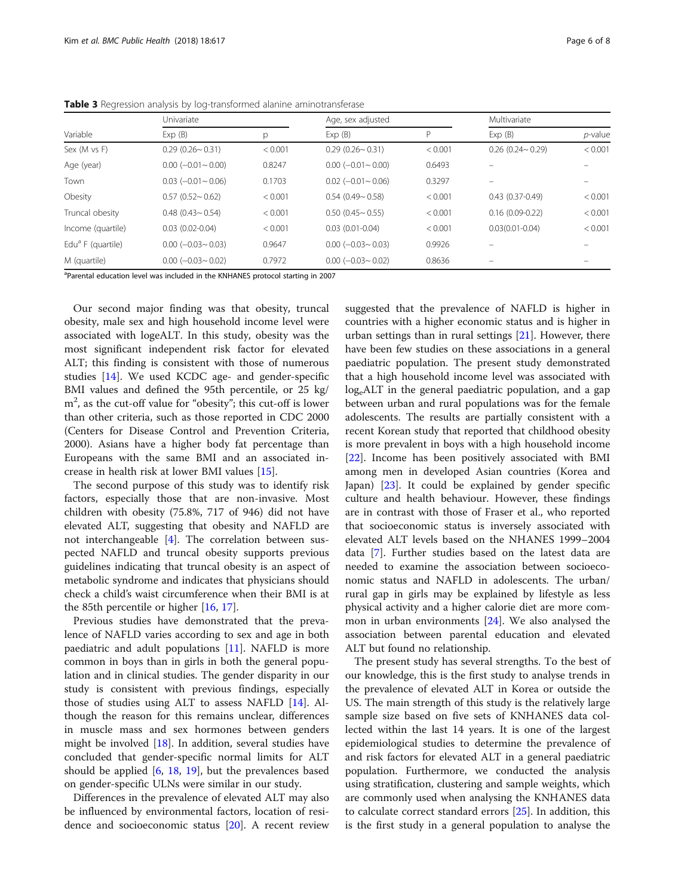|                               | Univariate                    |         | Age, sex adjusted             |         | Multivariate              |            |
|-------------------------------|-------------------------------|---------|-------------------------------|---------|---------------------------|------------|
| Variable                      | Exp(B)                        | p       | Exp(B)                        | D       | Exp(B)                    | $p$ -value |
| Sex (M vs F)                  | $0.29$ (0.26 ~ 0.31)          | < 0.001 | $0.29(0.26 \sim 0.31)$        | < 0.001 | $0.26$ (0.24 $\sim$ 0.29) | < 0.001    |
| Age (year)                    | $0.00 (-0.01 - 0.00)$         | 0.8247  | $0.00$ ( $-0.01$ $\sim$ 0.00) | 0.6493  |                           |            |
| Town                          | $0.03$ ( $-0.01$ $\sim$ 0.06) | 0.1703  | $0.02$ (-0.01 ~ 0.06)         | 0.3297  |                           |            |
| Obesity                       | $0.57(0.52 \sim 0.62)$        | < 0.001 | $0.54$ (0.49~ 0.58)           | < 0.001 | $0.43(0.37-0.49)$         | < 0.001    |
| Truncal obesity               | $0.48$ $(0.43 \sim 0.54)$     | < 0.001 | $0.50(0.45 \sim 0.55)$        | < 0.001 | $0.16(0.09 - 0.22)$       | < 0.001    |
| Income (quartile)             | $0.03$ $(0.02 - 0.04)$        | < 0.001 | $0.03(0.01 - 0.04)$           | < 0.001 | $0.03(0.01 - 0.04)$       | < 0.001    |
| Edu <sup>a</sup> F (quartile) | $0.00$ ( $-0.03$ $\sim$ 0.03) | 0.9647  | $0.00$ ( $-0.03$ $\sim$ 0.03) | 0.9926  |                           |            |
| M (quartile)                  | $0.00 (-0.03 - 0.02)$         | 0.7972  | $0.00$ ( $-0.03$ $\sim$ 0.02) | 0.8636  |                           |            |

<span id="page-5-0"></span>Table 3 Regression analysis by log-transformed alanine aminotransferase

<sup>a</sup>Parental education level was included in the KNHANES protocol starting in 2007

Our second major finding was that obesity, truncal obesity, male sex and high household income level were associated with logeALT. In this study, obesity was the most significant independent risk factor for elevated ALT; this finding is consistent with those of numerous studies [[14\]](#page-6-0). We used KCDC age- and gender-specific BMI values and defined the 95th percentile, or 25 kg/ m<sup>2</sup>, as the cut-off value for "obesity"; this cut-off is lower than other criteria, such as those reported in CDC 2000 (Centers for Disease Control and Prevention Criteria, 2000). Asians have a higher body fat percentage than Europeans with the same BMI and an associated increase in health risk at lower BMI values [[15\]](#page-6-0).

The second purpose of this study was to identify risk factors, especially those that are non-invasive. Most children with obesity (75.8%, 717 of 946) did not have elevated ALT, suggesting that obesity and NAFLD are not interchangeable [\[4](#page-6-0)]. The correlation between suspected NAFLD and truncal obesity supports previous guidelines indicating that truncal obesity is an aspect of metabolic syndrome and indicates that physicians should check a child's waist circumference when their BMI is at the 85th percentile or higher [[16,](#page-6-0) [17](#page-6-0)].

Previous studies have demonstrated that the prevalence of NAFLD varies according to sex and age in both paediatric and adult populations [[11\]](#page-6-0). NAFLD is more common in boys than in girls in both the general population and in clinical studies. The gender disparity in our study is consistent with previous findings, especially those of studies using ALT to assess NAFLD [[14\]](#page-6-0). Although the reason for this remains unclear, differences in muscle mass and sex hormones between genders might be involved  $[18]$  $[18]$ . In addition, several studies have concluded that gender-specific normal limits for ALT should be applied [\[6](#page-6-0), [18,](#page-6-0) [19\]](#page-6-0), but the prevalences based on gender-specific ULNs were similar in our study.

Differences in the prevalence of elevated ALT may also be influenced by environmental factors, location of residence and socioeconomic status [\[20\]](#page-6-0). A recent review

suggested that the prevalence of NAFLD is higher in countries with a higher economic status and is higher in urban settings than in rural settings  $[21]$  $[21]$ . However, there have been few studies on these associations in a general paediatric population. The present study demonstrated that a high household income level was associated with log<sub>e</sub>ALT in the general paediatric population, and a gap between urban and rural populations was for the female adolescents. The results are partially consistent with a recent Korean study that reported that childhood obesity is more prevalent in boys with a high household income [[22\]](#page-7-0). Income has been positively associated with BMI among men in developed Asian countries (Korea and Japan) [\[23\]](#page-7-0). It could be explained by gender specific culture and health behaviour. However, these findings are in contrast with those of Fraser et al., who reported that socioeconomic status is inversely associated with elevated ALT levels based on the NHANES 1999–2004 data [\[7](#page-6-0)]. Further studies based on the latest data are needed to examine the association between socioeconomic status and NAFLD in adolescents. The urban/ rural gap in girls may be explained by lifestyle as less physical activity and a higher calorie diet are more common in urban environments [\[24](#page-7-0)]. We also analysed the association between parental education and elevated ALT but found no relationship.

The present study has several strengths. To the best of our knowledge, this is the first study to analyse trends in the prevalence of elevated ALT in Korea or outside the US. The main strength of this study is the relatively large sample size based on five sets of KNHANES data collected within the last 14 years. It is one of the largest epidemiological studies to determine the prevalence of and risk factors for elevated ALT in a general paediatric population. Furthermore, we conducted the analysis using stratification, clustering and sample weights, which are commonly used when analysing the KNHANES data to calculate correct standard errors [\[25](#page-7-0)]. In addition, this is the first study in a general population to analyse the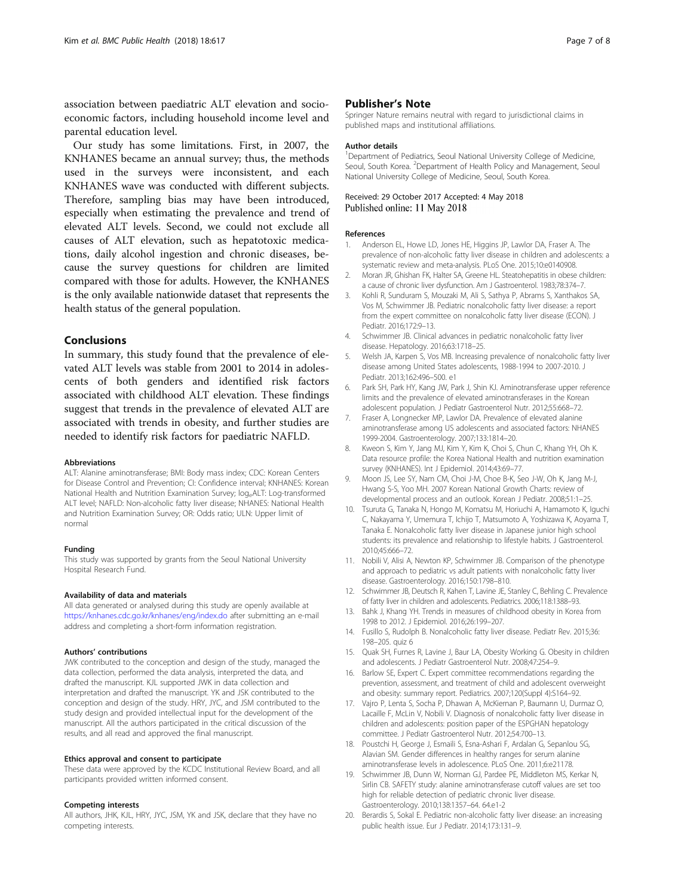<span id="page-6-0"></span>association between paediatric ALT elevation and socioeconomic factors, including household income level and parental education level.

Our study has some limitations. First, in 2007, the KNHANES became an annual survey; thus, the methods used in the surveys were inconsistent, and each KNHANES wave was conducted with different subjects. Therefore, sampling bias may have been introduced, especially when estimating the prevalence and trend of elevated ALT levels. Second, we could not exclude all causes of ALT elevation, such as hepatotoxic medications, daily alcohol ingestion and chronic diseases, because the survey questions for children are limited compared with those for adults. However, the KNHANES is the only available nationwide dataset that represents the health status of the general population.

# Conclusions

In summary, this study found that the prevalence of elevated ALT levels was stable from 2001 to 2014 in adolescents of both genders and identified risk factors associated with childhood ALT elevation. These findings suggest that trends in the prevalence of elevated ALT are associated with trends in obesity, and further studies are needed to identify risk factors for paediatric NAFLD.

#### Abbreviations

ALT: Alanine aminotransferase; BMI: Body mass index; CDC: Korean Centers for Disease Control and Prevention; CI: Confidence interval; KNHANES: Korean National Health and Nutrition Examination Survey; log<sub>e</sub>ALT: Log-transformed ALT level; NAFLD: Non-alcoholic fatty liver disease; NHANES: National Health and Nutrition Examination Survey; OR: Odds ratio; ULN: Upper limit of normal

#### Funding

This study was supported by grants from the Seoul National University Hospital Research Fund.

#### Availability of data and materials

All data generated or analysed during this study are openly available at <https://knhanes.cdc.go.kr/knhanes/eng/index.do> after submitting an e-mail address and completing a short-form information registration.

#### Authors' contributions

JWK contributed to the conception and design of the study, managed the data collection, performed the data analysis, interpreted the data, and drafted the manuscript. KJL supported JWK in data collection and interpretation and drafted the manuscript. YK and JSK contributed to the conception and design of the study. HRY, JYC, and JSM contributed to the study design and provided intellectual input for the development of the manuscript. All the authors participated in the critical discussion of the results, and all read and approved the final manuscript.

#### Ethics approval and consent to participate

These data were approved by the KCDC Institutional Review Board, and all participants provided written informed consent.

#### Competing interests

All authors, JHK, KJL, HRY, JYC, JSM, YK and JSK, declare that they have no competing interests.

# Publisher's Note

Springer Nature remains neutral with regard to jurisdictional claims in published maps and institutional affiliations.

#### Author details

<sup>1</sup>Department of Pediatrics, Seoul National University College of Medicine, Seoul, South Korea. <sup>2</sup> Department of Health Policy and Management, Seoul National University College of Medicine, Seoul, South Korea.

## Received: 29 October 2017 Accepted: 4 May 2018 Published online: 11 May 2018

#### References

- Anderson EL, Howe LD, Jones HE, Higgins JP, Lawlor DA, Fraser A. The prevalence of non-alcoholic fatty liver disease in children and adolescents: a systematic review and meta-analysis. PLoS One. 2015;10:e0140908.
- 2. Moran JR, Ghishan FK, Halter SA, Greene HL. Steatohepatitis in obese children: a cause of chronic liver dysfunction. Am J Gastroenterol. 1983;78:374–7.
- 3. Kohli R, Sunduram S, Mouzaki M, Ali S, Sathya P, Abrams S, Xanthakos SA, Vos M, Schwimmer JB. Pediatric nonalcoholic fatty liver disease: a report from the expert committee on nonalcoholic fatty liver disease (ECON). J Pediatr. 2016;172:9–13.
- 4. Schwimmer JB. Clinical advances in pediatric nonalcoholic fatty liver disease. Hepatology. 2016;63:1718–25.
- 5. Welsh JA, Karpen S, Vos MB. Increasing prevalence of nonalcoholic fatty liver disease among United States adolescents, 1988-1994 to 2007-2010. J Pediatr. 2013;162:496–500. e1
- 6. Park SH, Park HY, Kang JW, Park J, Shin KJ. Aminotransferase upper reference limits and the prevalence of elevated aminotransferases in the Korean adolescent population. J Pediatr Gastroenterol Nutr. 2012;55:668–72.
- 7. Fraser A, Longnecker MP, Lawlor DA. Prevalence of elevated alanine aminotransferase among US adolescents and associated factors: NHANES 1999-2004. Gastroenterology. 2007;133:1814–20.
- 8. Kweon S, Kim Y, Jang MJ, Kim Y, Kim K, Choi S, Chun C, Khang YH, Oh K. Data resource profile: the Korea National Health and nutrition examination survey (KNHANES). Int J Epidemiol. 2014;43:69–77.
- 9. Moon JS, Lee SY, Nam CM, Choi J-M, Choe B-K, Seo J-W, Oh K, Jang M-J, Hwang S-S, Yoo MH. 2007 Korean National Growth Charts: review of developmental process and an outlook. Korean J Pediatr. 2008;51:1–25.
- 10. Tsuruta G, Tanaka N, Hongo M, Komatsu M, Horiuchi A, Hamamoto K, Iguchi C, Nakayama Y, Umemura T, Ichijo T, Matsumoto A, Yoshizawa K, Aoyama T, Tanaka E. Nonalcoholic fatty liver disease in Japanese junior high school students: its prevalence and relationship to lifestyle habits. J Gastroenterol. 2010;45:666–72.
- 11. Nobili V, Alisi A, Newton KP, Schwimmer JB. Comparison of the phenotype and approach to pediatric vs adult patients with nonalcoholic fatty liver disease. Gastroenterology. 2016;150:1798–810.
- 12. Schwimmer JB, Deutsch R, Kahen T, Lavine JE, Stanley C, Behling C. Prevalence of fatty liver in children and adolescents. Pediatrics. 2006;118:1388–93.
- 13. Bahk J, Khang YH. Trends in measures of childhood obesity in Korea from 1998 to 2012. J Epidemiol. 2016;26:199–207.
- 14. Fusillo S, Rudolph B. Nonalcoholic fatty liver disease. Pediatr Rev. 2015;36: 198–205. quiz 6
- 15. Quak SH, Furnes R, Lavine J, Baur LA, Obesity Working G. Obesity in children and adolescents. J Pediatr Gastroenterol Nutr. 2008;47:254–9.
- 16. Barlow SE, Expert C. Expert committee recommendations regarding the prevention, assessment, and treatment of child and adolescent overweight and obesity: summary report. Pediatrics. 2007;120(Suppl 4):S164–92.
- 17. Vajro P, Lenta S, Socha P, Dhawan A, McKiernan P, Baumann U, Durmaz O, Lacaille F, McLin V, Nobili V. Diagnosis of nonalcoholic fatty liver disease in children and adolescents: position paper of the ESPGHAN hepatology committee. J Pediatr Gastroenterol Nutr. 2012;54:700–13.
- 18. Poustchi H, George J, Esmaili S, Esna-Ashari F, Ardalan G, Sepanlou SG, Alavian SM. Gender differences in healthy ranges for serum alanine aminotransferase levels in adolescence. PLoS One. 2011;6:e21178.
- 19. Schwimmer JB, Dunn W, Norman GJ, Pardee PE, Middleton MS, Kerkar N, Sirlin CB. SAFETY study: alanine aminotransferase cutoff values are set too high for reliable detection of pediatric chronic liver disease. Gastroenterology. 2010;138:1357–64. 64.e1-2
- 20. Berardis S, Sokal E. Pediatric non-alcoholic fatty liver disease: an increasing public health issue. Eur J Pediatr. 2014;173:131–9.